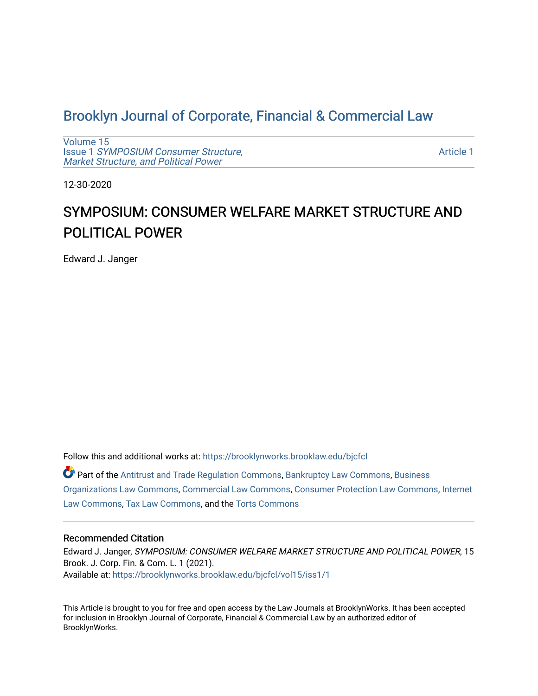## [Brooklyn Journal of Corporate, Financial & Commercial Law](https://brooklynworks.brooklaw.edu/bjcfcl)

[Volume 15](https://brooklynworks.brooklaw.edu/bjcfcl/vol15) Issue 1 [SYMPOSIUM Consumer Structure,](https://brooklynworks.brooklaw.edu/bjcfcl/vol15/iss1) [Market Structure, and Political Power](https://brooklynworks.brooklaw.edu/bjcfcl/vol15/iss1)

[Article 1](https://brooklynworks.brooklaw.edu/bjcfcl/vol15/iss1/1) 

12-30-2020

# SYMPOSIUM: CONSUMER WELFARE MARKET STRUCTURE AND POLITICAL POWER

Edward J. Janger

Follow this and additional works at: [https://brooklynworks.brooklaw.edu/bjcfcl](https://brooklynworks.brooklaw.edu/bjcfcl?utm_source=brooklynworks.brooklaw.edu%2Fbjcfcl%2Fvol15%2Fiss1%2F1&utm_medium=PDF&utm_campaign=PDFCoverPages)

Part of the [Antitrust and Trade Regulation Commons,](http://network.bepress.com/hgg/discipline/911?utm_source=brooklynworks.brooklaw.edu%2Fbjcfcl%2Fvol15%2Fiss1%2F1&utm_medium=PDF&utm_campaign=PDFCoverPages) [Bankruptcy Law Commons,](http://network.bepress.com/hgg/discipline/583?utm_source=brooklynworks.brooklaw.edu%2Fbjcfcl%2Fvol15%2Fiss1%2F1&utm_medium=PDF&utm_campaign=PDFCoverPages) [Business](http://network.bepress.com/hgg/discipline/900?utm_source=brooklynworks.brooklaw.edu%2Fbjcfcl%2Fvol15%2Fiss1%2F1&utm_medium=PDF&utm_campaign=PDFCoverPages) [Organizations Law Commons](http://network.bepress.com/hgg/discipline/900?utm_source=brooklynworks.brooklaw.edu%2Fbjcfcl%2Fvol15%2Fiss1%2F1&utm_medium=PDF&utm_campaign=PDFCoverPages), [Commercial Law Commons,](http://network.bepress.com/hgg/discipline/586?utm_source=brooklynworks.brooklaw.edu%2Fbjcfcl%2Fvol15%2Fiss1%2F1&utm_medium=PDF&utm_campaign=PDFCoverPages) [Consumer Protection Law Commons,](http://network.bepress.com/hgg/discipline/838?utm_source=brooklynworks.brooklaw.edu%2Fbjcfcl%2Fvol15%2Fiss1%2F1&utm_medium=PDF&utm_campaign=PDFCoverPages) [Internet](http://network.bepress.com/hgg/discipline/892?utm_source=brooklynworks.brooklaw.edu%2Fbjcfcl%2Fvol15%2Fiss1%2F1&utm_medium=PDF&utm_campaign=PDFCoverPages)  [Law Commons,](http://network.bepress.com/hgg/discipline/892?utm_source=brooklynworks.brooklaw.edu%2Fbjcfcl%2Fvol15%2Fiss1%2F1&utm_medium=PDF&utm_campaign=PDFCoverPages) [Tax Law Commons,](http://network.bepress.com/hgg/discipline/898?utm_source=brooklynworks.brooklaw.edu%2Fbjcfcl%2Fvol15%2Fiss1%2F1&utm_medium=PDF&utm_campaign=PDFCoverPages) and the [Torts Commons](http://network.bepress.com/hgg/discipline/913?utm_source=brooklynworks.brooklaw.edu%2Fbjcfcl%2Fvol15%2Fiss1%2F1&utm_medium=PDF&utm_campaign=PDFCoverPages)

#### Recommended Citation

Edward J. Janger, SYMPOSIUM: CONSUMER WELFARE MARKET STRUCTURE AND POLITICAL POWER, 15 Brook. J. Corp. Fin. & Com. L. 1 (2021). Available at: [https://brooklynworks.brooklaw.edu/bjcfcl/vol15/iss1/1](https://brooklynworks.brooklaw.edu/bjcfcl/vol15/iss1/1?utm_source=brooklynworks.brooklaw.edu%2Fbjcfcl%2Fvol15%2Fiss1%2F1&utm_medium=PDF&utm_campaign=PDFCoverPages)

This Article is brought to you for free and open access by the Law Journals at BrooklynWorks. It has been accepted for inclusion in Brooklyn Journal of Corporate, Financial & Commercial Law by an authorized editor of BrooklynWorks.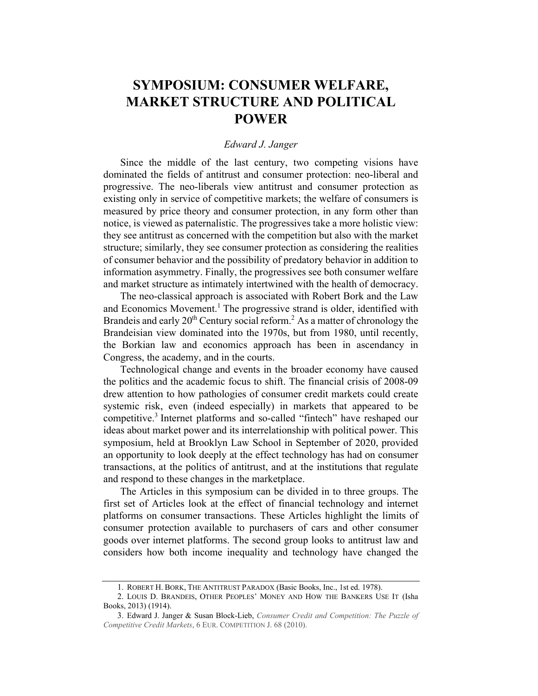## SYMPOSIUM: CONSUMER WELFARE, MARKET STRUCTURE AND POLITICAL POWER

### Edward J. Janger

Since the middle of the last century, two competing visions have dominated the fields of antitrust and consumer protection: neo-liberal and progressive. The neo-liberals view antitrust and consumer protection as existing only in service of competitive markets; the welfare of consumers is measured by price theory and consumer protection, in any form other than notice, is viewed as paternalistic. The progressives take a more holistic view: they see antitrust as concerned with the competition but also with the market structure; similarly, they see consumer protection as considering the realities of consumer behavior and the possibility of predatory behavior in addition to information asymmetry. Finally, the progressives see both consumer welfare and market structure as intimately intertwined with the health of democracy.

The neo-classical approach is associated with Robert Bork and the Law and Economics Movement.<sup>1</sup> The progressive strand is older, identified with Brandeis and early  $20<sup>th</sup>$  Century social reform.<sup>2</sup> As a matter of chronology the Brandeisian view dominated into the 1970s, but from 1980, until recently, the Borkian law and economics approach has been in ascendancy in Congress, the academy, and in the courts.

Technological change and events in the broader economy have caused the politics and the academic focus to shift. The financial crisis of 2008-09 drew attention to how pathologies of consumer credit markets could create systemic risk, even (indeed especially) in markets that appeared to be competitive.<sup>3</sup> Internet platforms and so-called "fintech" have reshaped our ideas about market power and its interrelationship with political power. This symposium, held at Brooklyn Law School in September of 2020, provided an opportunity to look deeply at the effect technology has had on consumer transactions, at the politics of antitrust, and at the institutions that regulate and respond to these changes in the marketplace.

The Articles in this symposium can be divided in to three groups. The first set of Articles look at the effect of financial technology and internet platforms on consumer transactions. These Articles highlight the limits of consumer protection available to purchasers of cars and other consumer goods over internet platforms. The second group looks to antitrust law and considers how both income inequality and technology have changed the

<sup>1.</sup> ROBERT H. BORK, THE ANTITRUST PARADOX (Basic Books, Inc., 1st ed. 1978).

<sup>2.</sup> LOUIS D. BRANDEIS, OTHER PEOPLES' MONEY AND HOW THE BANKERS USE IT (Isha Books, 2013) (1914).

<sup>3.</sup> Edward J. Janger & Susan Block-Lieb, Consumer Credit and Competition: The Puzzle of Competitive Credit Markets, 6 EUR. COMPETITION J. 68 (2010).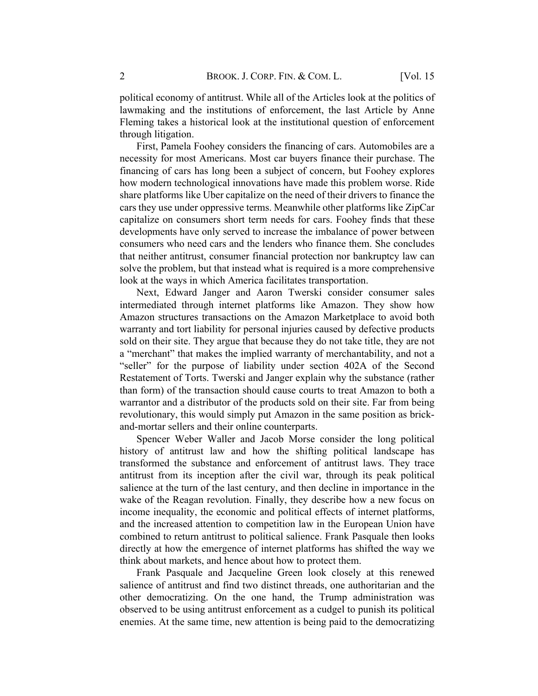political economy of antitrust. While all of the Articles look at the politics of lawmaking and the institutions of enforcement, the last Article by Anne Fleming takes a historical look at the institutional question of enforcement through litigation.

First, Pamela Foohey considers the financing of cars. Automobiles are a necessity for most Americans. Most car buyers finance their purchase. The financing of cars has long been a subject of concern, but Foohey explores how modern technological innovations have made this problem worse. Ride share platforms like Uber capitalize on the need of their drivers to finance the cars they use under oppressive terms. Meanwhile other platforms like ZipCar capitalize on consumers short term needs for cars. Foohey finds that these developments have only served to increase the imbalance of power between consumers who need cars and the lenders who finance them. She concludes that neither antitrust, consumer financial protection nor bankruptcy law can solve the problem, but that instead what is required is a more comprehensive look at the ways in which America facilitates transportation.

Next, Edward Janger and Aaron Twerski consider consumer sales intermediated through internet platforms like Amazon. They show how Amazon structures transactions on the Amazon Marketplace to avoid both warranty and tort liability for personal injuries caused by defective products sold on their site. They argue that because they do not take title, they are not a "merchant" that makes the implied warranty of merchantability, and not a "seller" for the purpose of liability under section 402A of the Second Restatement of Torts. Twerski and Janger explain why the substance (rather than form) of the transaction should cause courts to treat Amazon to both a warrantor and a distributor of the products sold on their site. Far from being revolutionary, this would simply put Amazon in the same position as brickand-mortar sellers and their online counterparts.

Spencer Weber Waller and Jacob Morse consider the long political history of antitrust law and how the shifting political landscape has transformed the substance and enforcement of antitrust laws. They trace antitrust from its inception after the civil war, through its peak political salience at the turn of the last century, and then decline in importance in the wake of the Reagan revolution. Finally, they describe how a new focus on income inequality, the economic and political effects of internet platforms, and the increased attention to competition law in the European Union have combined to return antitrust to political salience. Frank Pasquale then looks directly at how the emergence of internet platforms has shifted the way we think about markets, and hence about how to protect them.

Frank Pasquale and Jacqueline Green look closely at this renewed salience of antitrust and find two distinct threads, one authoritarian and the other democratizing. On the one hand, the Trump administration was observed to be using antitrust enforcement as a cudgel to punish its political enemies. At the same time, new attention is being paid to the democratizing